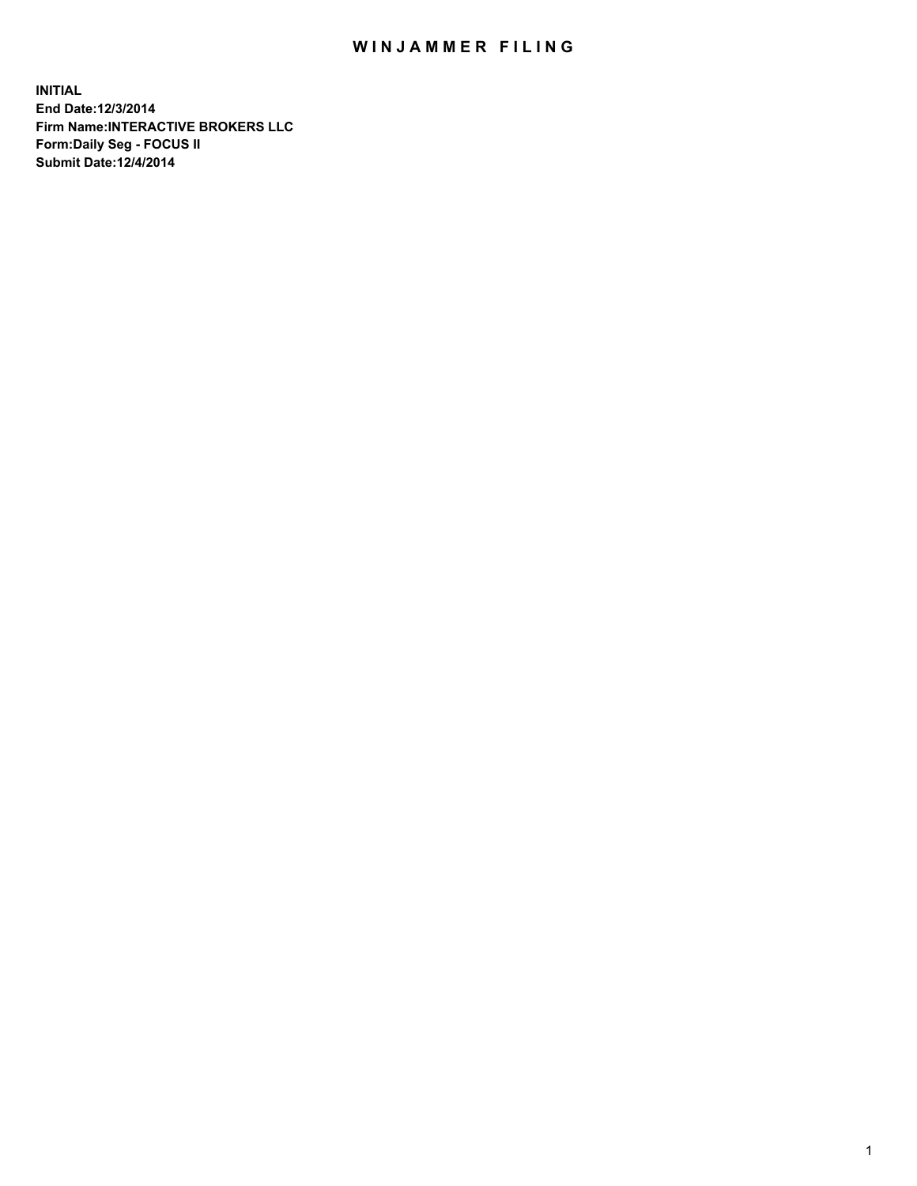## WIN JAMMER FILING

**INITIAL End Date:12/3/2014 Firm Name:INTERACTIVE BROKERS LLC Form:Daily Seg - FOCUS II Submit Date:12/4/2014**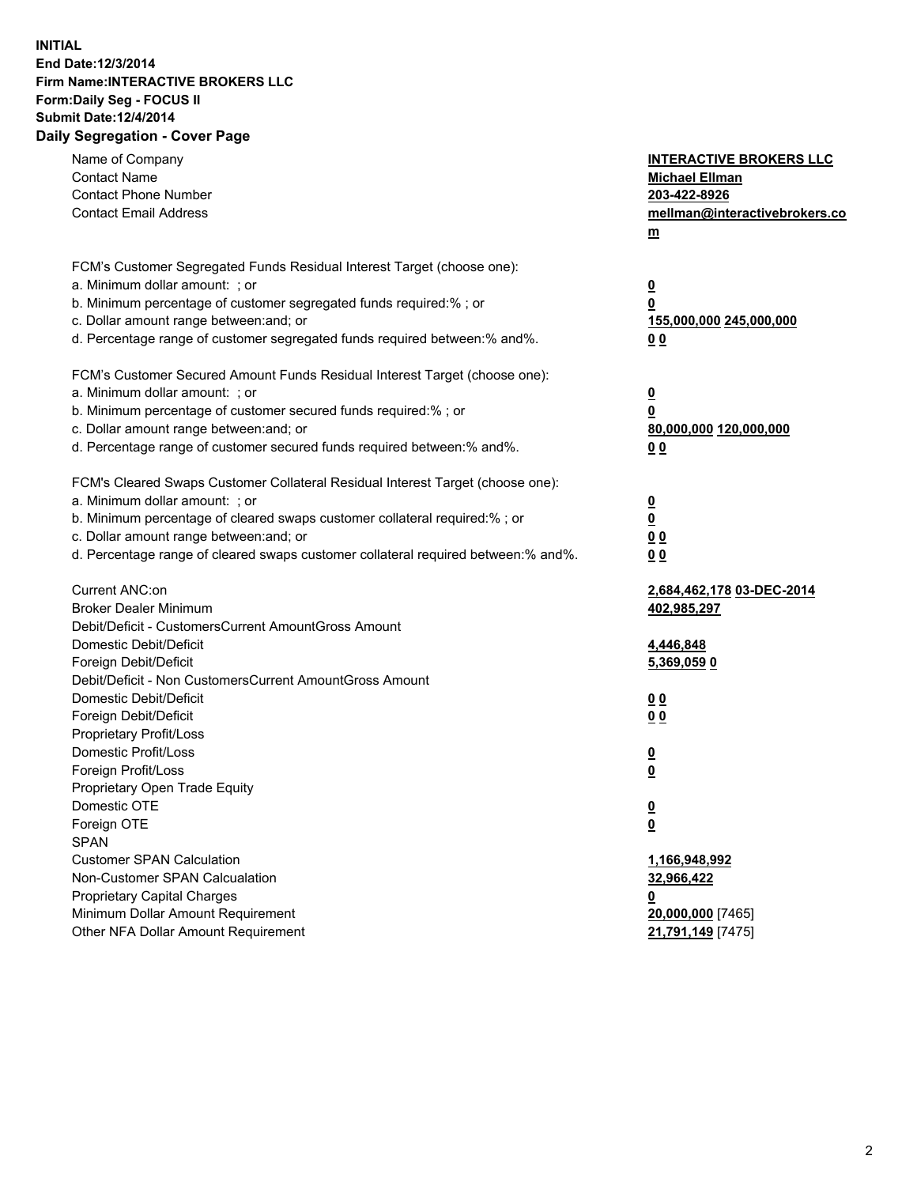## **INITIAL End Date:12/3/2014 Firm Name:INTERACTIVE BROKERS LLC Form:Daily Seg - FOCUS II Submit Date:12/4/2014 Daily Segregation - Cover Page**

| Name of Company<br><b>Contact Name</b><br><b>Contact Phone Number</b><br><b>Contact Email Address</b>                                                                                                                                                                                                                          | <b>INTERACTIVE BROKERS LLC</b><br><b>Michael Ellman</b><br>203-422-8926<br>mellman@interactivebrokers.co<br>m |
|--------------------------------------------------------------------------------------------------------------------------------------------------------------------------------------------------------------------------------------------------------------------------------------------------------------------------------|---------------------------------------------------------------------------------------------------------------|
| FCM's Customer Segregated Funds Residual Interest Target (choose one):<br>a. Minimum dollar amount: ; or<br>b. Minimum percentage of customer segregated funds required:% ; or<br>c. Dollar amount range between: and; or<br>d. Percentage range of customer segregated funds required between:% and%.                         | $\overline{\mathbf{0}}$<br>0<br>155,000,000 245,000,000<br>00                                                 |
| FCM's Customer Secured Amount Funds Residual Interest Target (choose one):<br>a. Minimum dollar amount: ; or<br>b. Minimum percentage of customer secured funds required:% ; or<br>c. Dollar amount range between: and; or<br>d. Percentage range of customer secured funds required between:% and%.                           | $\overline{\mathbf{0}}$<br>0<br>80,000,000 120,000,000<br>0 <sub>0</sub>                                      |
| FCM's Cleared Swaps Customer Collateral Residual Interest Target (choose one):<br>a. Minimum dollar amount: ; or<br>b. Minimum percentage of cleared swaps customer collateral required:% ; or<br>c. Dollar amount range between: and; or<br>d. Percentage range of cleared swaps customer collateral required between:% and%. | $\overline{\mathbf{0}}$<br><u>0</u><br>0 <sub>0</sub><br>0 <sub>0</sub>                                       |
| Current ANC:on<br><b>Broker Dealer Minimum</b><br>Debit/Deficit - CustomersCurrent AmountGross Amount<br>Domestic Debit/Deficit<br>Foreign Debit/Deficit                                                                                                                                                                       | 2,684,462,178 03-DEC-2014<br>402,985,297<br>4,446,848<br>5,369,059 0                                          |
| Debit/Deficit - Non CustomersCurrent AmountGross Amount<br>Domestic Debit/Deficit<br>Foreign Debit/Deficit<br>Proprietary Profit/Loss<br>Domestic Profit/Loss<br>Foreign Profit/Loss                                                                                                                                           | 0 <sub>0</sub><br>0 <sub>0</sub><br>$\overline{\mathbf{0}}$<br>$\overline{\mathbf{0}}$                        |
| Proprietary Open Trade Equity<br>Domestic OTE<br>Foreign OTE<br><b>SPAN</b><br><b>Customer SPAN Calculation</b><br>Non-Customer SPAN Calcualation                                                                                                                                                                              | $\overline{\mathbf{0}}$<br><u>0</u><br>1,166,948,992<br>32,966,422                                            |
| <b>Proprietary Capital Charges</b><br>Minimum Dollar Amount Requirement<br>Other NFA Dollar Amount Requirement                                                                                                                                                                                                                 | <u>0</u><br>20,000,000 [7465]<br>21,791,149 [7475]                                                            |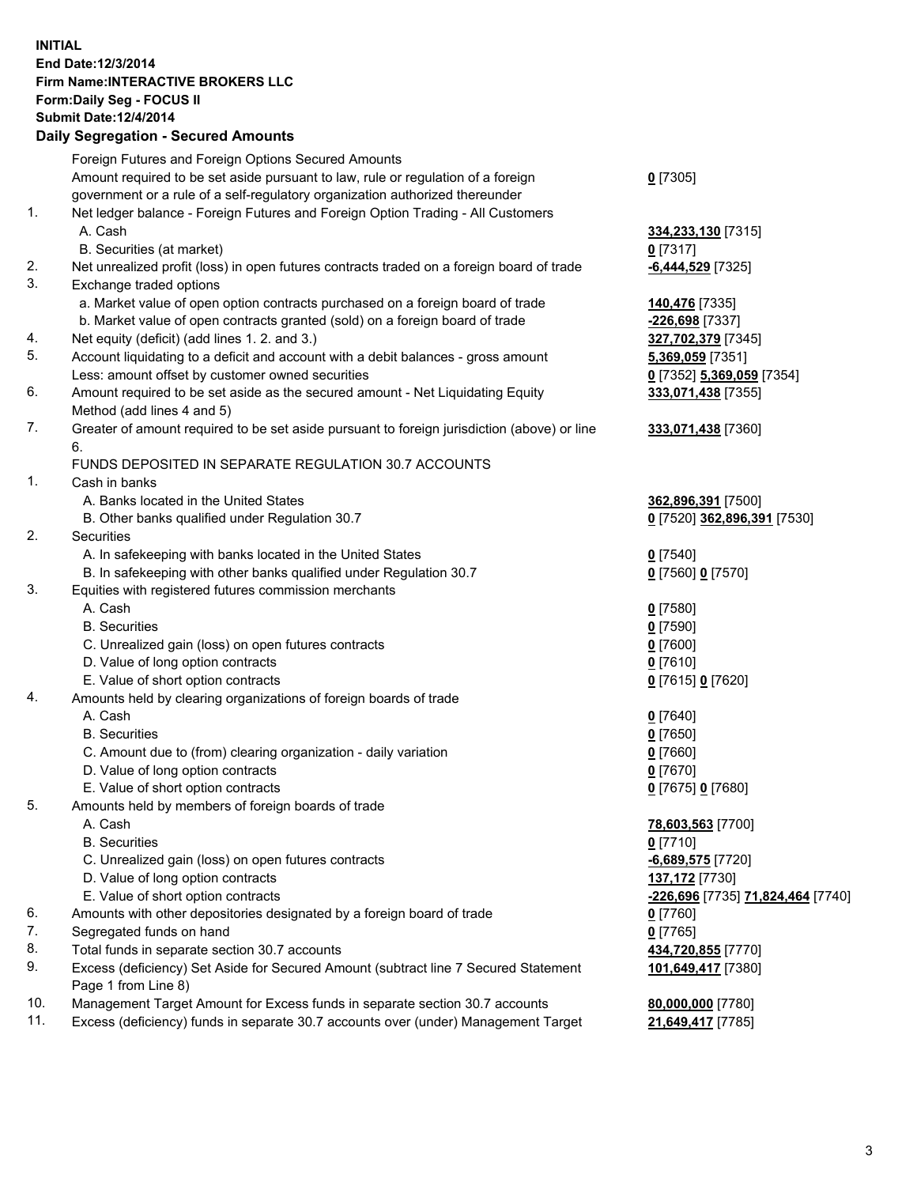## **INITIAL End Date:12/3/2014 Firm Name:INTERACTIVE BROKERS LLC Form:Daily Seg - FOCUS II Submit Date:12/4/2014 Daily Segregation - Secured Amounts**

|                | Daily Jegregation - Jeculed Aniounts                                                        |                                   |
|----------------|---------------------------------------------------------------------------------------------|-----------------------------------|
|                | Foreign Futures and Foreign Options Secured Amounts                                         |                                   |
|                | Amount required to be set aside pursuant to law, rule or regulation of a foreign            | $0$ [7305]                        |
|                | government or a rule of a self-regulatory organization authorized thereunder                |                                   |
| 1.             | Net ledger balance - Foreign Futures and Foreign Option Trading - All Customers             |                                   |
|                | A. Cash                                                                                     | 334,233,130 [7315]                |
|                | B. Securities (at market)                                                                   | $0$ [7317]                        |
| 2.             | Net unrealized profit (loss) in open futures contracts traded on a foreign board of trade   | -6,444,529 [7325]                 |
| 3.             |                                                                                             |                                   |
|                | Exchange traded options                                                                     |                                   |
|                | a. Market value of open option contracts purchased on a foreign board of trade              | 140,476 [7335]                    |
|                | b. Market value of open contracts granted (sold) on a foreign board of trade                | -226,698 [7337]                   |
| 4.             | Net equity (deficit) (add lines 1. 2. and 3.)                                               | 327,702,379 [7345]                |
| 5.             | Account liquidating to a deficit and account with a debit balances - gross amount           | 5,369,059 [7351]                  |
|                | Less: amount offset by customer owned securities                                            | 0 [7352] 5,369,059 [7354]         |
| 6.             | Amount required to be set aside as the secured amount - Net Liquidating Equity              | 333,071,438 [7355]                |
|                | Method (add lines 4 and 5)                                                                  |                                   |
| 7.             | Greater of amount required to be set aside pursuant to foreign jurisdiction (above) or line | 333,071,438 [7360]                |
|                | 6.                                                                                          |                                   |
|                | FUNDS DEPOSITED IN SEPARATE REGULATION 30.7 ACCOUNTS                                        |                                   |
| $\mathbf{1}$ . | Cash in banks                                                                               |                                   |
|                | A. Banks located in the United States                                                       | 362,896,391 [7500]                |
|                | B. Other banks qualified under Regulation 30.7                                              | 0 [7520] 362,896,391 [7530]       |
| 2.             | Securities                                                                                  |                                   |
|                | A. In safekeeping with banks located in the United States                                   | $0$ [7540]                        |
|                | B. In safekeeping with other banks qualified under Regulation 30.7                          | 0 [7560] 0 [7570]                 |
| 3.             | Equities with registered futures commission merchants                                       |                                   |
|                | A. Cash                                                                                     | $0$ [7580]                        |
|                | <b>B.</b> Securities                                                                        | $0$ [7590]                        |
|                | C. Unrealized gain (loss) on open futures contracts                                         | $0$ [7600]                        |
|                | D. Value of long option contracts                                                           | $0$ [7610]                        |
|                | E. Value of short option contracts                                                          |                                   |
| 4.             |                                                                                             | 0 [7615] 0 [7620]                 |
|                | Amounts held by clearing organizations of foreign boards of trade                           |                                   |
|                | A. Cash                                                                                     | $0$ [7640]                        |
|                | <b>B.</b> Securities                                                                        | $0$ [7650]                        |
|                | C. Amount due to (from) clearing organization - daily variation                             | $0$ [7660]                        |
|                | D. Value of long option contracts                                                           | $0$ [7670]                        |
|                | E. Value of short option contracts                                                          | 0 [7675] 0 [7680]                 |
| 5.             | Amounts held by members of foreign boards of trade                                          |                                   |
|                | A. Cash                                                                                     | 78,603,563 [7700]                 |
|                | <b>B.</b> Securities                                                                        | $0$ [7710]                        |
|                | C. Unrealized gain (loss) on open futures contracts                                         | -6,689,575 [7720]                 |
|                | D. Value of long option contracts                                                           | 137,172 [7730]                    |
|                | E. Value of short option contracts                                                          | -226,696 [7735] 71,824,464 [7740] |
| 6.             | Amounts with other depositories designated by a foreign board of trade                      | $0$ [7760]                        |
| 7.             | Segregated funds on hand                                                                    | $0$ [7765]                        |
| 8.             | Total funds in separate section 30.7 accounts                                               | 434,720,855 [7770]                |
| 9.             | Excess (deficiency) Set Aside for Secured Amount (subtract line 7 Secured Statement         | 101,649,417 [7380]                |
|                | Page 1 from Line 8)                                                                         |                                   |
| 10.            | Management Target Amount for Excess funds in separate section 30.7 accounts                 | 80,000,000 [7780]                 |
| 11.            | Excess (deficiency) funds in separate 30.7 accounts over (under) Management Target          | 21,649,417 [7785]                 |
|                |                                                                                             |                                   |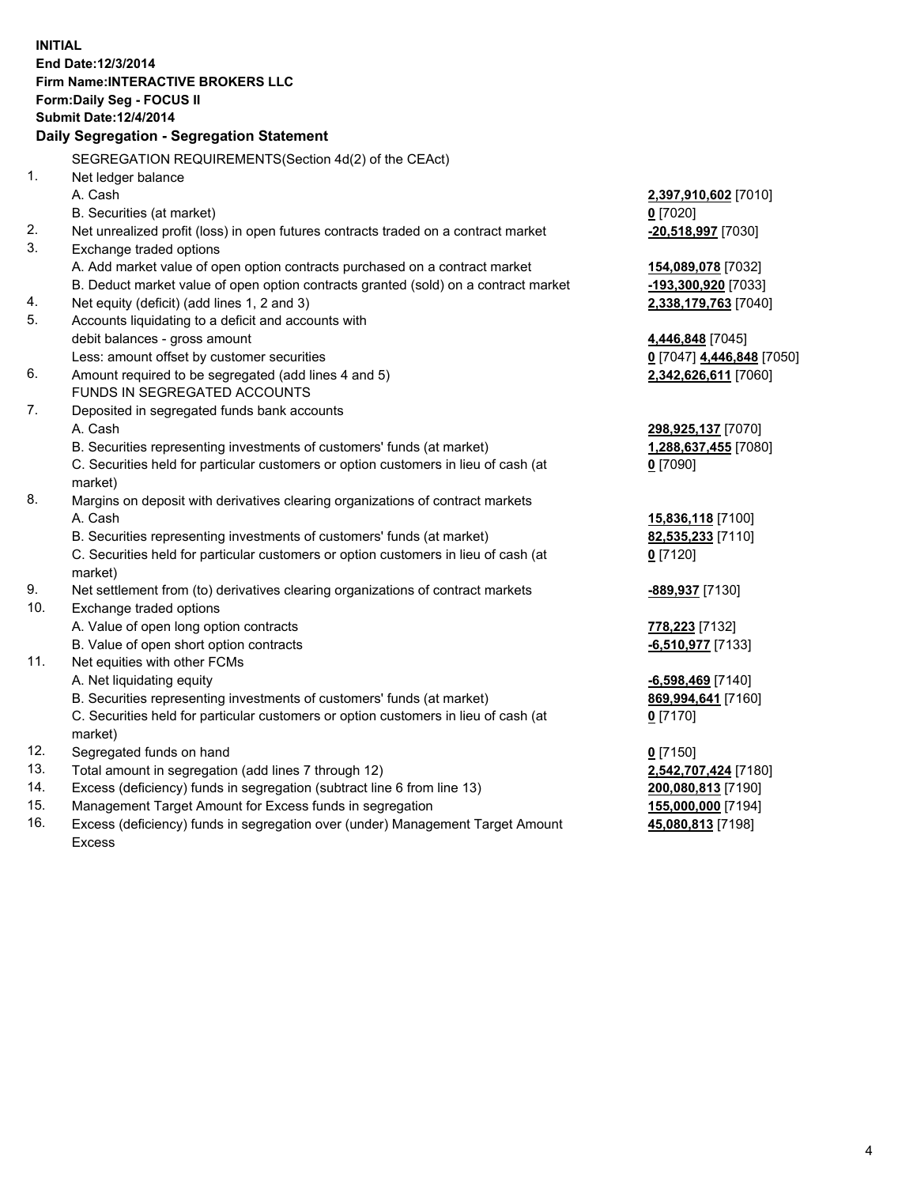**INITIAL End Date:12/3/2014 Firm Name:INTERACTIVE BROKERS LLC Form:Daily Seg - FOCUS II Submit Date:12/4/2014 Daily Segregation - Segregation Statement** SEGREGATION REQUIREMENTS(Section 4d(2) of the CEAct) 1. Net ledger balance A. Cash **2,397,910,602** [7010] B. Securities (at market) **0** [7020] 2. Net unrealized profit (loss) in open futures contracts traded on a contract market **-20,518,997** [7030] 3. Exchange traded options A. Add market value of open option contracts purchased on a contract market **154,089,078** [7032] B. Deduct market value of open option contracts granted (sold) on a contract market **-193,300,920** [7033] 4. Net equity (deficit) (add lines 1, 2 and 3) **2,338,179,763** [7040] 5. Accounts liquidating to a deficit and accounts with debit balances - gross amount **4,446,848** [7045] Less: amount offset by customer securities **0** [7047] **4,446,848** [7050] 6. Amount required to be segregated (add lines 4 and 5) **2,342,626,611** [7060] FUNDS IN SEGREGATED ACCOUNTS 7. Deposited in segregated funds bank accounts A. Cash **298,925,137** [7070] B. Securities representing investments of customers' funds (at market) **1,288,637,455** [7080] C. Securities held for particular customers or option customers in lieu of cash (at market) **0** [7090] 8. Margins on deposit with derivatives clearing organizations of contract markets A. Cash **15,836,118** [7100] B. Securities representing investments of customers' funds (at market) **82,535,233** [7110] C. Securities held for particular customers or option customers in lieu of cash (at market) **0** [7120] 9. Net settlement from (to) derivatives clearing organizations of contract markets **-889,937** [7130] 10. Exchange traded options A. Value of open long option contracts **778,223** [7132] B. Value of open short option contracts **-6,510,977** [7133] 11. Net equities with other FCMs A. Net liquidating equity **-6,598,469** [7140] B. Securities representing investments of customers' funds (at market) **869,994,641** [7160] C. Securities held for particular customers or option customers in lieu of cash (at market) **0** [7170] 12. Segregated funds on hand **0** [7150] 13. Total amount in segregation (add lines 7 through 12) **2,542,707,424** [7180] 14. Excess (deficiency) funds in segregation (subtract line 6 from line 13) **200,080,813** [7190] 15. Management Target Amount for Excess funds in segregation **155,000,000** [7194]

16. Excess (deficiency) funds in segregation over (under) Management Target Amount Excess

**45,080,813** [7198]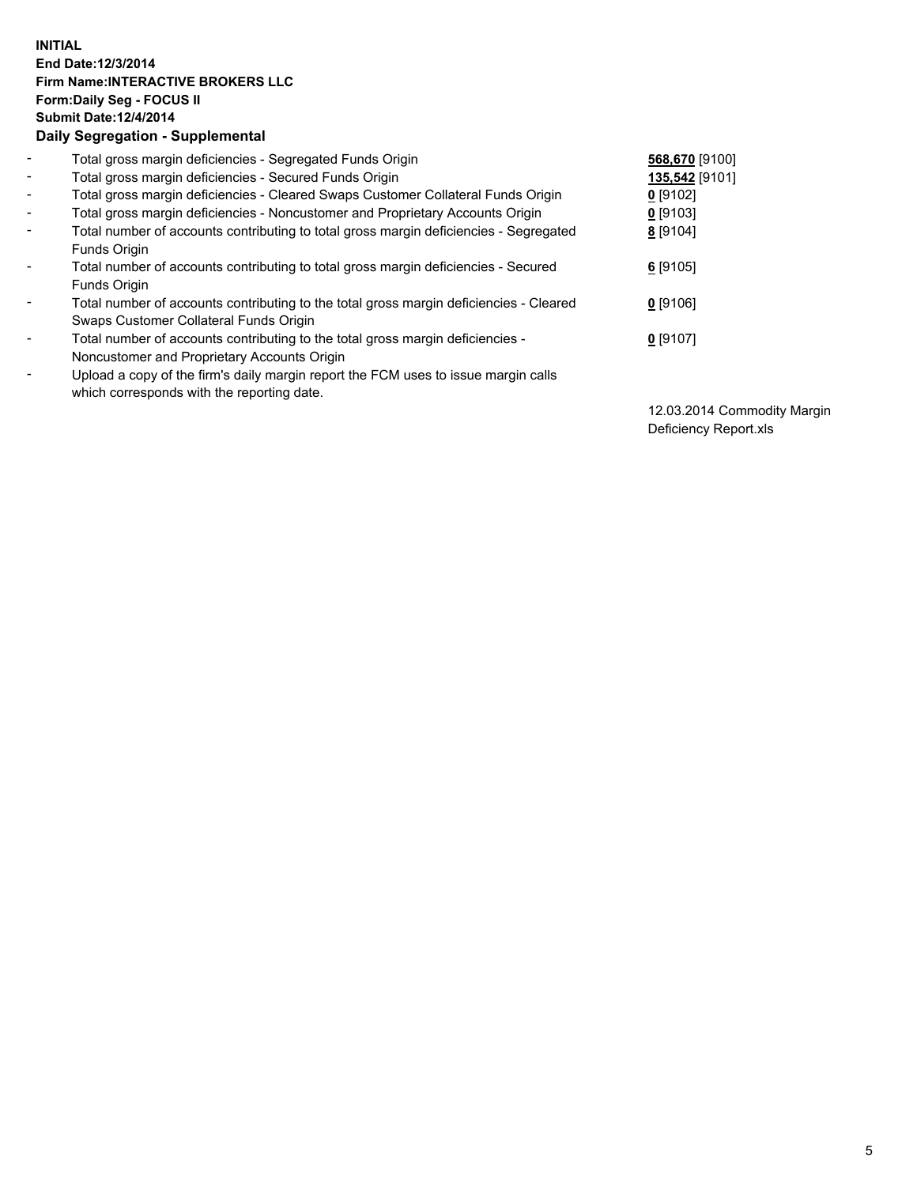## **INITIAL End Date:12/3/2014 Firm Name:INTERACTIVE BROKERS LLC Form:Daily Seg - FOCUS II Submit Date:12/4/2014 Daily Segregation - Supplemental**

| $\overline{\phantom{a}}$ | Total gross margin deficiencies - Segregated Funds Origin                              | 568,670 [9100] |
|--------------------------|----------------------------------------------------------------------------------------|----------------|
| $\blacksquare$           | Total gross margin deficiencies - Secured Funds Origin                                 | 135,542 [9101] |
| $\blacksquare$           | Total gross margin deficiencies - Cleared Swaps Customer Collateral Funds Origin       | $0$ [9102]     |
| $\blacksquare$           | Total gross margin deficiencies - Noncustomer and Proprietary Accounts Origin          | $0$ [9103]     |
| $\blacksquare$           | Total number of accounts contributing to total gross margin deficiencies - Segregated  | 8 [9104]       |
|                          | Funds Origin                                                                           |                |
| $\blacksquare$           | Total number of accounts contributing to total gross margin deficiencies - Secured     | $6$ [9105]     |
|                          | Funds Origin                                                                           |                |
| $\overline{\phantom{a}}$ | Total number of accounts contributing to the total gross margin deficiencies - Cleared | $0$ [9106]     |
|                          | Swaps Customer Collateral Funds Origin                                                 |                |
| $\overline{\phantom{a}}$ | Total number of accounts contributing to the total gross margin deficiencies -         | $0$ [9107]     |
|                          | Noncustomer and Proprietary Accounts Origin                                            |                |
| $\overline{\phantom{0}}$ | Upload a copy of the firm's daily margin report the FCM uses to issue margin calls     |                |
|                          | which corresponds with the reporting date.                                             |                |

12.03.2014 Commodity Margin Deficiency Report.xls